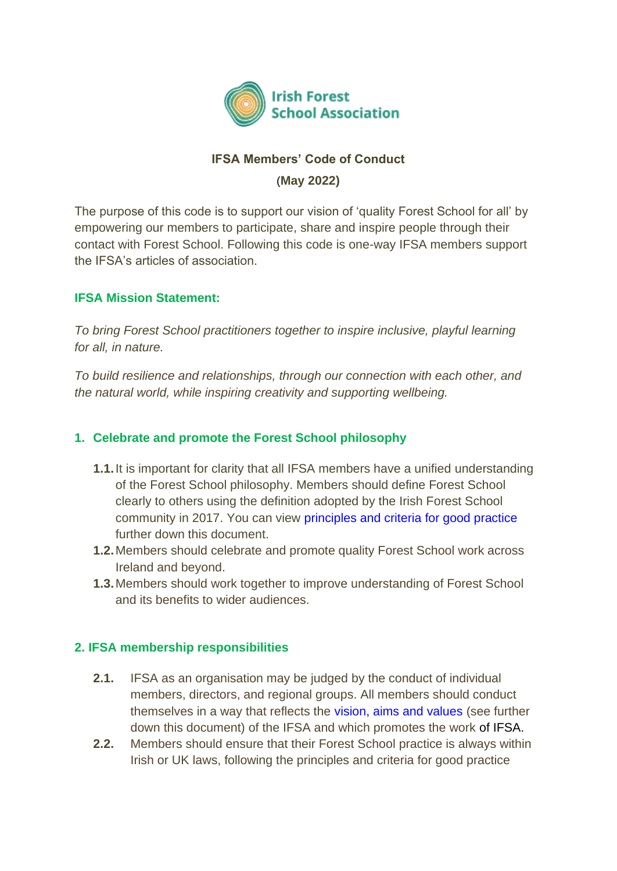

# **IFSA Members' Code of Conduct** (**May 2022)**

The purpose of this code is to support our vision of 'quality Forest School for all' by empowering our members to participate, share and inspire people through their contact with Forest School. Following this code is one-way IFSA members support the IFSA's articles of association.

# **IFSA Mission Statement:**

*To bring Forest School practitioners together to inspire inclusive, playful learning for all, in nature.*

*To build resilience and relationships, through our connection with each other, and the natural world, while inspiring creativity and supporting wellbeing.*

# **1. Celebrate and promote the Forest School philosophy**

- **1.1.**It is important for clarity that all IFSA members have a unified understanding of the Forest School philosophy. Members should define Forest School clearly to others using the definition adopted by the Irish Forest School community in 2017. You can view principles and criteria for good practice further down this document.
- **1.2.**Members should celebrate and promote quality Forest School work across Ireland and beyond.
- **1.3.**Members should work together to improve understanding of Forest School and its benefits to wider audiences.

### **2. IFSA membership responsibilities**

- **2.1.** IFSA as an organisation may be judged by the conduct of individual members, directors, and regional groups. All members should conduct themselves in a way that reflects the vision, aims and values (see further down this document) of the IFSA and which promotes the work of IFSA.
- **2.2.** Members should ensure that their Forest School practice is always within Irish or UK laws, following the principles and criteria for good practice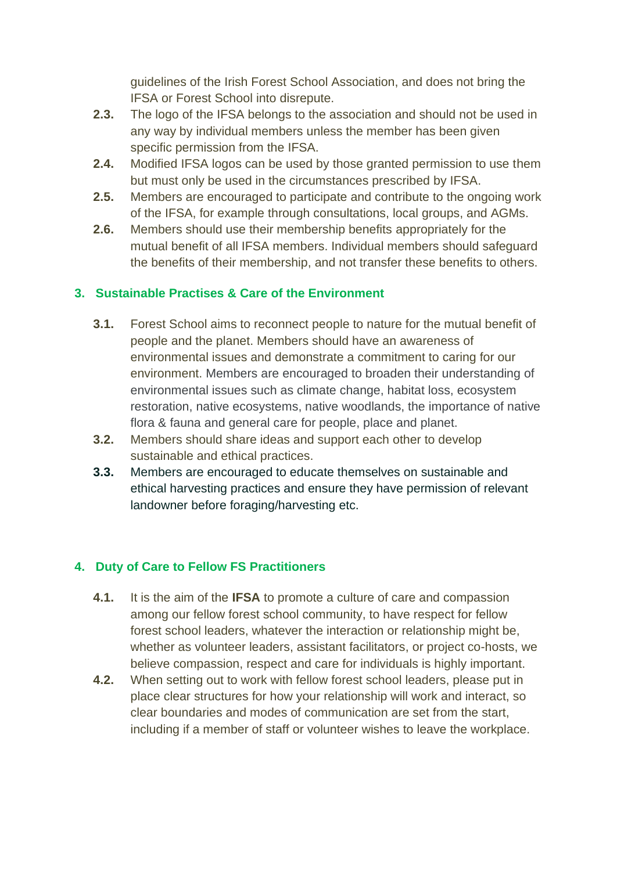guidelines of the Irish Forest School Association, and does not bring the IFSA or Forest School into disrepute.

- **2.3.** The logo of the IFSA belongs to the association and should not be used in any way by individual members unless the member has been given specific permission from the IFSA.
- **2.4.** Modified IFSA logos can be used by those granted permission to use them but must only be used in the circumstances prescribed by IFSA.
- **2.5.** Members are encouraged to participate and contribute to the ongoing work of the IFSA, for example through consultations, local groups, and AGMs.
- **2.6.** Members should use their membership benefits appropriately for the mutual benefit of all IFSA members. Individual members should safeguard the benefits of their membership, and not transfer these benefits to others.

# **3. Sustainable Practises & Care of the Environment**

- **3.1.** Forest School aims to reconnect people to nature for the mutual benefit of people and the planet. Members should have an awareness of environmental issues and demonstrate a commitment to caring for our environment. Members are encouraged to broaden their understanding of environmental issues such as climate change, habitat loss, ecosystem restoration, native ecosystems, native woodlands, the importance of native flora & fauna and general care for people, place and planet.
- **3.2.** Members should share ideas and support each other to develop sustainable and ethical practices.
- **3.3.** Members are encouraged to educate themselves on sustainable and ethical harvesting practices and ensure they have permission of relevant landowner before foraging/harvesting etc.

### **4. Duty of Care to Fellow FS Practitioners**

- **4.1.** It is the aim of the **IFSA** to promote a culture of care and compassion among our fellow forest school community, to have respect for fellow forest school leaders, whatever the interaction or relationship might be, whether as volunteer leaders, assistant facilitators, or project co-hosts, we believe compassion, respect and care for individuals is highly important.
- **4.2.** When setting out to work with fellow forest school leaders, please put in place clear structures for how your relationship will work and interact, so clear boundaries and modes of communication are set from the start, including if a member of staff or volunteer wishes to leave the workplace.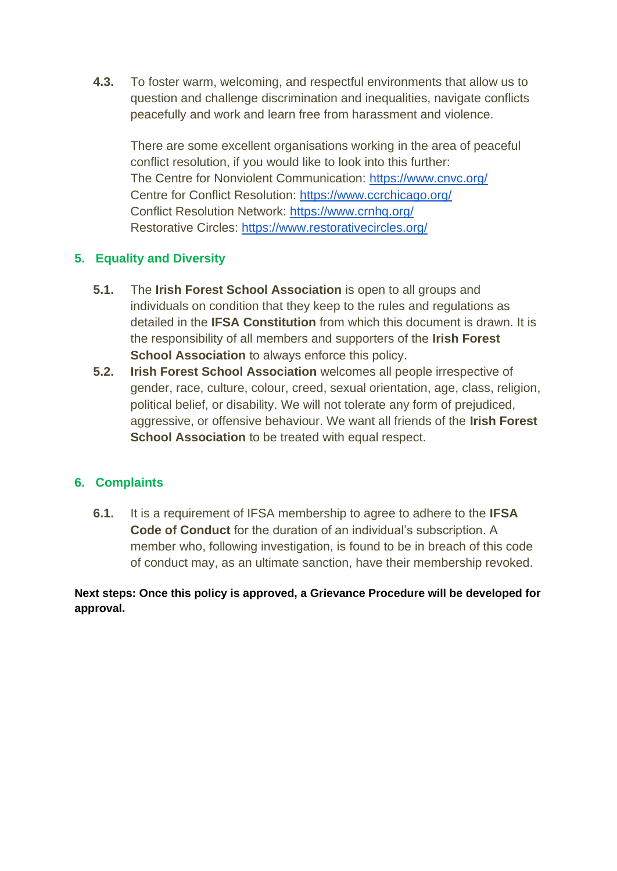**4.3.** To foster warm, welcoming, and respectful environments that allow us to question and challenge discrimination and inequalities, navigate conflicts peacefully and work and learn free from harassment and violence.

There are some excellent organisations working in the area of peaceful conflict resolution, if you would like to look into this further: The Centre for Nonviolent Communication:<https://www.cnvc.org/> Centre for Conflict Resolution:<https://www.ccrchicago.org/> Conflict Resolution Network:<https://www.crnhq.org/> Restorative Circles:<https://www.restorativecircles.org/>

# **5. Equality and Diversity**

- **5.1.** The **Irish Forest School Association** is open to all groups and individuals on condition that they keep to the rules and regulations as detailed in the **IFSA Constitution** from which this document is drawn. It is the responsibility of all members and supporters of the **Irish Forest School Association** to always enforce this policy.
- **5.2. Irish Forest School Association** welcomes all people irrespective of gender, race, culture, colour, creed, sexual orientation, age, class, religion, political belief, or disability. We will not tolerate any form of prejudiced, aggressive, or offensive behaviour. We want all friends of the **Irish Forest School Association** to be treated with equal respect.

### **6. Complaints**

**6.1.** It is a requirement of IFSA membership to agree to adhere to the **IFSA Code of Conduct** for the duration of an individual's subscription. A member who, following investigation, is found to be in breach of this code of conduct may, as an ultimate sanction, have their membership revoked.

**Next steps: Once this policy is approved, a Grievance Procedure will be developed for approval.**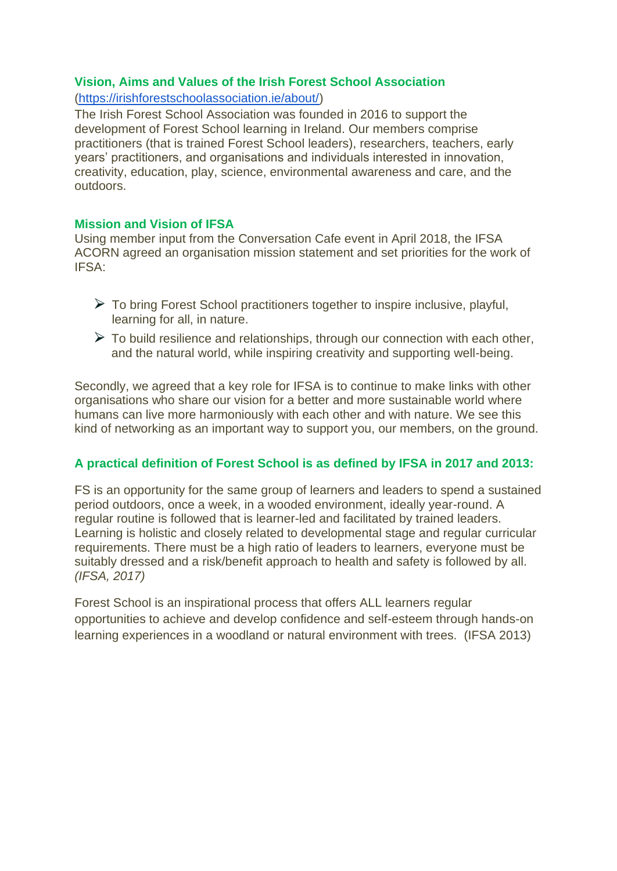### **Vision, Aims and Values of the Irish Forest School Association**

### [\(https://irishforestschoolassociation.ie/about/\)](https://irishforestschoolassociation.ie/about/)

The Irish Forest School Association was founded in 2016 to support the development of Forest School learning in Ireland. Our members comprise practitioners (that is trained Forest School leaders), researchers, teachers, early years' practitioners, and organisations and individuals interested in innovation, creativity, education, play, science, environmental awareness and care, and the outdoors.

#### **Mission and Vision of IFSA**

Using member input from the Conversation Cafe event in April 2018, the IFSA ACORN agreed an organisation mission statement and set priorities for the work of IFSA:

- $\triangleright$  To bring Forest School practitioners together to inspire inclusive, playful, learning for all, in nature.
- $\triangleright$  To build resilience and relationships, through our connection with each other, and the natural world, while inspiring creativity and supporting well-being.

Secondly, we agreed that a key role for IFSA is to continue to make links with other organisations who share our vision for a better and more sustainable world where humans can live more harmoniously with each other and with nature. We see this kind of networking as an important way to support you, our members, on the ground.

### **A practical definition of Forest School is as defined by IFSA in 2017 and 2013:**

FS is an opportunity for the same group of learners and leaders to spend a sustained period outdoors, once a week, in a wooded environment, ideally year-round. A regular routine is followed that is learner-led and facilitated by trained leaders. Learning is holistic and closely related to developmental stage and regular curricular requirements. There must be a high ratio of leaders to learners, everyone must be suitably dressed and a risk/benefit approach to health and safety is followed by all. *(IFSA, 2017)*

Forest School is an inspirational process that offers ALL learners regular opportunities to achieve and develop confidence and self-esteem through hands-on learning experiences in a woodland or natural environment with trees. (IFSA 2013)